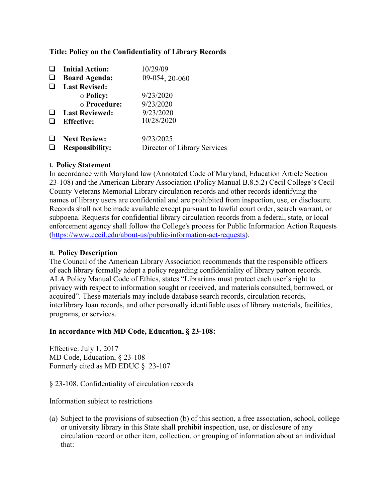### **Title: Policy on the Confidentiality of Library Records**

|        | <b>Initial Action:</b><br><b>Board Agenda:</b> | 10/29/09<br>09-054, 20-060   |
|--------|------------------------------------------------|------------------------------|
| $\Box$ | <b>Last Revised:</b>                           |                              |
|        | $\circ$ Policy:                                | 9/23/2020                    |
|        | $\circ$ Procedure:                             | 9/23/2020                    |
| ⊔      | <b>Last Reviewed:</b>                          | 9/23/2020                    |
|        | <b>Effective:</b>                              | 10/28/2020                   |
| $\Box$ | <b>Next Review:</b>                            | 9/23/2025                    |
|        | <b>Responsibility:</b>                         | Director of Library Services |

### **I. Policy Statement**

In accordance with Maryland law (Annotated Code of Maryland, Education Article Section 23-108) and the American Library Association (Policy Manual B.8.5.2) Cecil College's Cecil County Veterans Memorial Library circulation records and other records identifying the names of library users are confidential and are prohibited from inspection, use, or disclosure. Records shall not be made available except pursuant to lawful court order, search warrant, or subpoena. Requests for confidential library circulation records from a federal, state, or local enforcement agency shall follow the College's process for Public Information Action Requests [\(https://www.cecil.edu/about-us/public-information-act-requests\)](https://www.cecil.edu/about-us/public-information-act-requests).

#### **II. Policy Description**

The Council of the American Library Association recommends that the responsible officers of each library formally adopt a policy regarding confidentiality of library patron records. ALA Policy Manual Code of Ethics, states "Librarians must protect each user's right to privacy with respect to information sought or received, and materials consulted, borrowed, or acquired". These materials may include database search records, circulation records, interlibrary loan records, and other personally identifiable uses of library materials, facilities, programs, or services.

#### **In accordance with MD Code, Education, § 23-108:**

Effective: July 1, 2017 MD Code, Education, § 23-108 Formerly cited as MD EDUC § 23-107

§ 23-108. Confidentiality of circulation records

Information subject to restrictions

(a) Subject to the provisions of subsection (b) of this section, a free association, school, college or university library in this State shall prohibit inspection, use, or disclosure of any circulation record or other item, collection, or grouping of information about an individual that: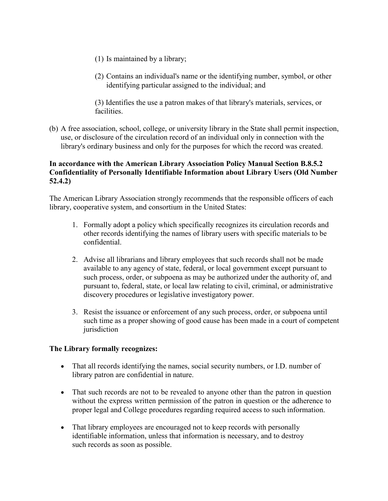- (1) Is maintained by a library;
- (2) Contains an individual's name or the identifying number, symbol, or other identifying particular assigned to the individual; and

(3) Identifies the use a patron makes of that library's materials, services, or facilities.

(b) A free association, school, college, or university library in the State shall permit inspection, use, or disclosure of the circulation record of an individual only in connection with the library's ordinary business and only for the purposes for which the record was created.

# **In accordance with the American Library Association Policy Manual Section B.8.5.2 Confidentiality of Personally Identifiable Information about Library Users (Old Number 52.4.2)**

The American Library Association strongly recommends that the responsible officers of each library, cooperative system, and consortium in the United States:

- 1. Formally adopt a policy which specifically recognizes its circulation records and other records identifying the names of library users with specific materials to be confidential.
- 2. Advise all librarians and library employees that such records shall not be made available to any agency of state, federal, or local government except pursuant to such process, order, or subpoena as may be authorized under the authority of, and pursuant to, federal, state, or local law relating to civil, criminal, or administrative discovery procedures or legislative investigatory power.
- 3. Resist the issuance or enforcement of any such process, order, or subpoena until such time as a proper showing of good cause has been made in a court of competent jurisdiction

### **The Library formally recognizes:**

- That all records identifying the names, social security numbers, or I.D. number of library patron are confidential in nature.
- That such records are not to be revealed to anyone other than the patron in question without the express written permission of the patron in question or the adherence to proper legal and College procedures regarding required access to such information.
- That library employees are encouraged not to keep records with personally identifiable information, unless that information is necessary, and to destroy such records as soon as possible.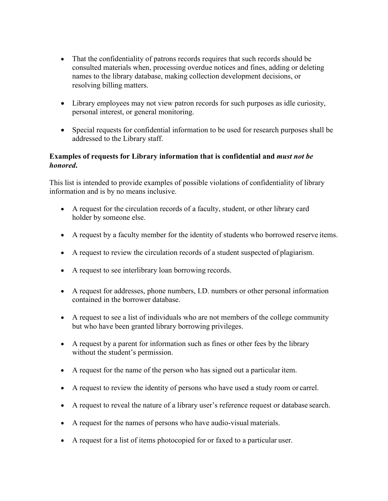- That the confidentiality of patrons records requires that such records should be consulted materials when, processing overdue notices and fines, adding or deleting names to the library database, making collection development decisions, or resolving billing matters.
- Library employees may not view patron records for such purposes as idle curiosity, personal interest, or general monitoring.
- Special requests for confidential information to be used for research purposes shall be addressed to the Library staff.

# **Examples of requests for Library information that is confidential and** *must not be honored***.**

This list is intended to provide examples of possible violations of confidentiality of library information and is by no means inclusive.

- A request for the circulation records of a faculty, student, or other library card holder by someone else.
- A request by a faculty member for the identity of students who borrowed reserve items.
- A request to review the circulation records of a student suspected of plagiarism.
- A request to see interlibrary loan borrowing records.
- A request for addresses, phone numbers, I.D. numbers or other personal information contained in the borrower database.
- A request to see a list of individuals who are not members of the college community but who have been granted library borrowing privileges.
- A request by a parent for information such as fines or other fees by the library without the student's permission.
- A request for the name of the person who has signed out a particular item.
- A request to review the identity of persons who have used a study room or carrel.
- A request to reveal the nature of a library user's reference request or database search.
- A request for the names of persons who have audio-visual materials.
- A request for a list of items photocopied for or faxed to a particular user.